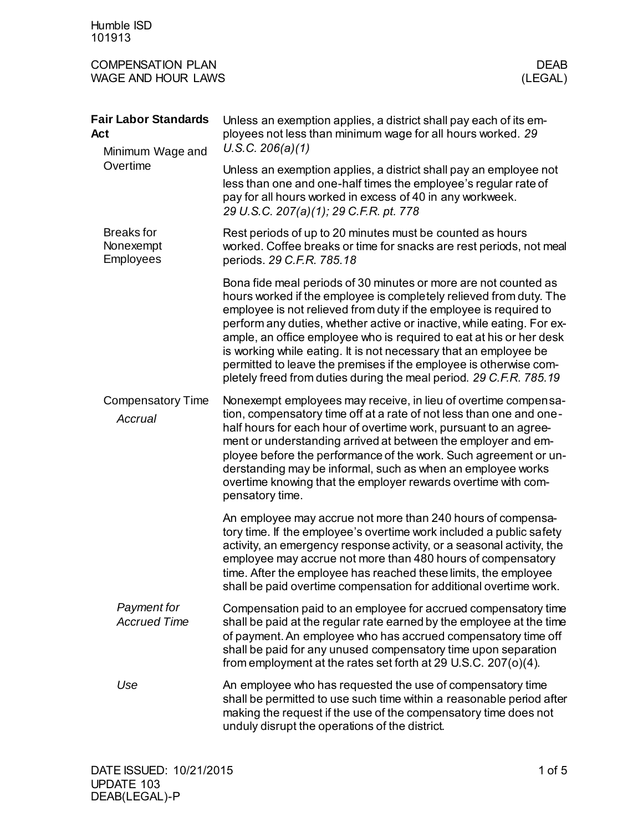| Humble ISD<br>101913                                               |                                                                                                                                                                                                                                                                                                                                                                                                                                                                                                                                                                           |
|--------------------------------------------------------------------|---------------------------------------------------------------------------------------------------------------------------------------------------------------------------------------------------------------------------------------------------------------------------------------------------------------------------------------------------------------------------------------------------------------------------------------------------------------------------------------------------------------------------------------------------------------------------|
| <b>COMPENSATION PLAN</b><br><b>WAGE AND HOUR LAWS</b>              | <b>DEAB</b><br>(LEGAL)                                                                                                                                                                                                                                                                                                                                                                                                                                                                                                                                                    |
| <b>Fair Labor Standards</b><br>Act<br>Minimum Wage and<br>Overtime | Unless an exemption applies, a district shall pay each of its em-<br>ployees not less than minimum wage for all hours worked. 29<br>U.S.C. 206(a)(1)                                                                                                                                                                                                                                                                                                                                                                                                                      |
|                                                                    | Unless an exemption applies, a district shall pay an employee not<br>less than one and one-half times the employee's regular rate of<br>pay for all hours worked in excess of 40 in any workweek.<br>29 U.S.C. 207(a)(1); 29 C.F.R. pt. 778                                                                                                                                                                                                                                                                                                                               |
| <b>Breaks for</b><br>Nonexempt<br><b>Employees</b>                 | Rest periods of up to 20 minutes must be counted as hours<br>worked. Coffee breaks or time for snacks are rest periods, not meal<br>periods. 29 C.F.R. 785.18                                                                                                                                                                                                                                                                                                                                                                                                             |
|                                                                    | Bona fide meal periods of 30 minutes or more are not counted as<br>hours worked if the employee is completely relieved from duty. The<br>employee is not relieved from duty if the employee is required to<br>perform any duties, whether active or inactive, while eating. For ex-<br>ample, an office employee who is required to eat at his or her desk<br>is working while eating. It is not necessary that an employee be<br>permitted to leave the premises if the employee is otherwise com-<br>pletely freed from duties during the meal period. 29 C.F.R. 785.19 |
| <b>Compensatory Time</b><br>Accrual                                | Nonexempt employees may receive, in lieu of overtime compensa-<br>tion, compensatory time off at a rate of not less than one and one-<br>half hours for each hour of overtime work, pursuant to an agree-<br>ment or understanding arrived at between the employer and em-<br>ployee before the performance of the work. Such agreement or un-<br>derstanding may be informal, such as when an employee works<br>overtime knowing that the employer rewards overtime with com-<br>pensatory time.                                                                         |
|                                                                    | An employee may accrue not more than 240 hours of compensa-<br>tory time. If the employee's overtime work included a public safety<br>activity, an emergency response activity, or a seasonal activity, the<br>employee may accrue not more than 480 hours of compensatory<br>time. After the employee has reached these limits, the employee<br>shall be paid overtime compensation for additional overtime work.                                                                                                                                                        |
| Payment for<br><b>Accrued Time</b>                                 | Compensation paid to an employee for accrued compensatory time<br>shall be paid at the regular rate earned by the employee at the time<br>of payment. An employee who has accrued compensatory time off<br>shall be paid for any unused compensatory time upon separation<br>from employment at the rates set forth at 29 U.S.C. 207(o)(4).                                                                                                                                                                                                                               |
| Use                                                                | An employee who has requested the use of compensatory time<br>shall be permitted to use such time within a reasonable period after<br>making the request if the use of the compensatory time does not<br>unduly disrupt the operations of the district.                                                                                                                                                                                                                                                                                                                   |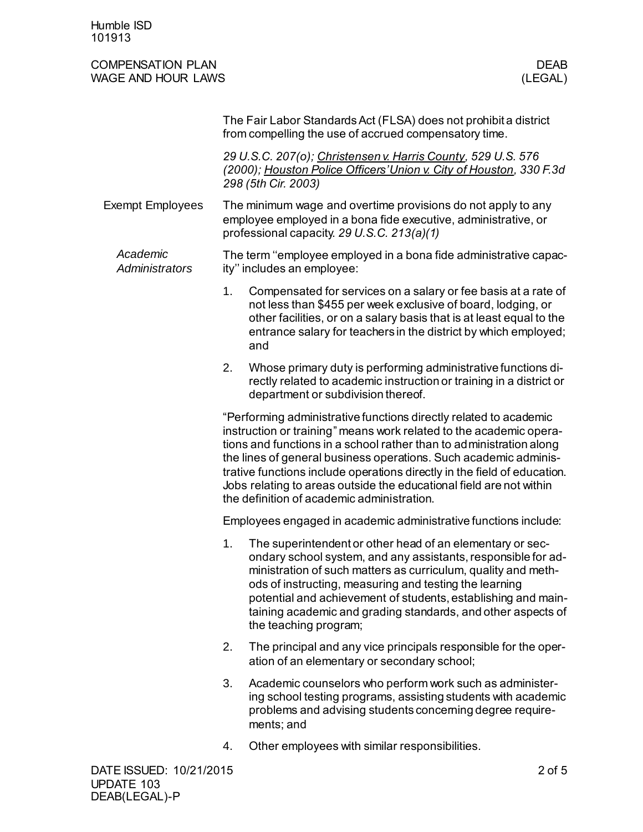Humble ISD 101913

| <b>COMPENSATION PLAN</b><br><b>WAGE AND HOUR LAWS</b> |                                                                                                                                                                                                                                                                                                                                                                                                                                                                                     |                                                                                                                                                                                                                                                                                                                                                                                                                 | <b>DEAB</b><br>(LEGAL) |  |  |
|-------------------------------------------------------|-------------------------------------------------------------------------------------------------------------------------------------------------------------------------------------------------------------------------------------------------------------------------------------------------------------------------------------------------------------------------------------------------------------------------------------------------------------------------------------|-----------------------------------------------------------------------------------------------------------------------------------------------------------------------------------------------------------------------------------------------------------------------------------------------------------------------------------------------------------------------------------------------------------------|------------------------|--|--|
|                                                       |                                                                                                                                                                                                                                                                                                                                                                                                                                                                                     | The Fair Labor Standards Act (FLSA) does not prohibit a district<br>from compelling the use of accrued compensatory time.                                                                                                                                                                                                                                                                                       |                        |  |  |
|                                                       | 29 U.S.C. 207(o); Christensen v. Harris County, 529 U.S. 576<br>(2000); Houston Police Officers' Union v. City of Houston, 330 F.3d<br>298 (5th Cir. 2003)                                                                                                                                                                                                                                                                                                                          |                                                                                                                                                                                                                                                                                                                                                                                                                 |                        |  |  |
| <b>Exempt Employees</b>                               |                                                                                                                                                                                                                                                                                                                                                                                                                                                                                     | The minimum wage and overtime provisions do not apply to any<br>employee employed in a bona fide executive, administrative, or<br>professional capacity. 29 U.S.C. 213(a)(1)                                                                                                                                                                                                                                    |                        |  |  |
| Academic<br><b>Administrators</b>                     |                                                                                                                                                                                                                                                                                                                                                                                                                                                                                     | The term "employee employed in a bona fide administrative capac-<br>ity" includes an employee:                                                                                                                                                                                                                                                                                                                  |                        |  |  |
|                                                       | 1.                                                                                                                                                                                                                                                                                                                                                                                                                                                                                  | Compensated for services on a salary or fee basis at a rate of<br>not less than \$455 per week exclusive of board, lodging, or<br>other facilities, or on a salary basis that is at least equal to the<br>entrance salary for teachers in the district by which employed;<br>and                                                                                                                                |                        |  |  |
|                                                       | 2.                                                                                                                                                                                                                                                                                                                                                                                                                                                                                  | Whose primary duty is performing administrative functions di-<br>rectly related to academic instruction or training in a district or<br>department or subdivision thereof.                                                                                                                                                                                                                                      |                        |  |  |
|                                                       | "Performing administrative functions directly related to academic<br>instruction or training" means work related to the academic opera-<br>tions and functions in a school rather than to administration along<br>the lines of general business operations. Such academic adminis-<br>trative functions include operations directly in the field of education.<br>Jobs relating to areas outside the educational field are not within<br>the definition of academic administration. |                                                                                                                                                                                                                                                                                                                                                                                                                 |                        |  |  |
|                                                       |                                                                                                                                                                                                                                                                                                                                                                                                                                                                                     | Employees engaged in academic administrative functions include:                                                                                                                                                                                                                                                                                                                                                 |                        |  |  |
|                                                       | 1.                                                                                                                                                                                                                                                                                                                                                                                                                                                                                  | The superintendent or other head of an elementary or sec-<br>ondary school system, and any assistants, responsible for ad-<br>ministration of such matters as curriculum, quality and meth-<br>ods of instructing, measuring and testing the learning<br>potential and achievement of students, establishing and main-<br>taining academic and grading standards, and other aspects of<br>the teaching program; |                        |  |  |
|                                                       | 2.                                                                                                                                                                                                                                                                                                                                                                                                                                                                                  | The principal and any vice principals responsible for the oper-<br>ation of an elementary or secondary school;                                                                                                                                                                                                                                                                                                  |                        |  |  |
|                                                       | 3.                                                                                                                                                                                                                                                                                                                                                                                                                                                                                  | Academic counselors who perform work such as administer-<br>ing school testing programs, assisting students with academic<br>problems and advising students concerning degree require-<br>ments; and                                                                                                                                                                                                            |                        |  |  |
|                                                       | 4.                                                                                                                                                                                                                                                                                                                                                                                                                                                                                  | Other employees with similar responsibilities.                                                                                                                                                                                                                                                                                                                                                                  |                        |  |  |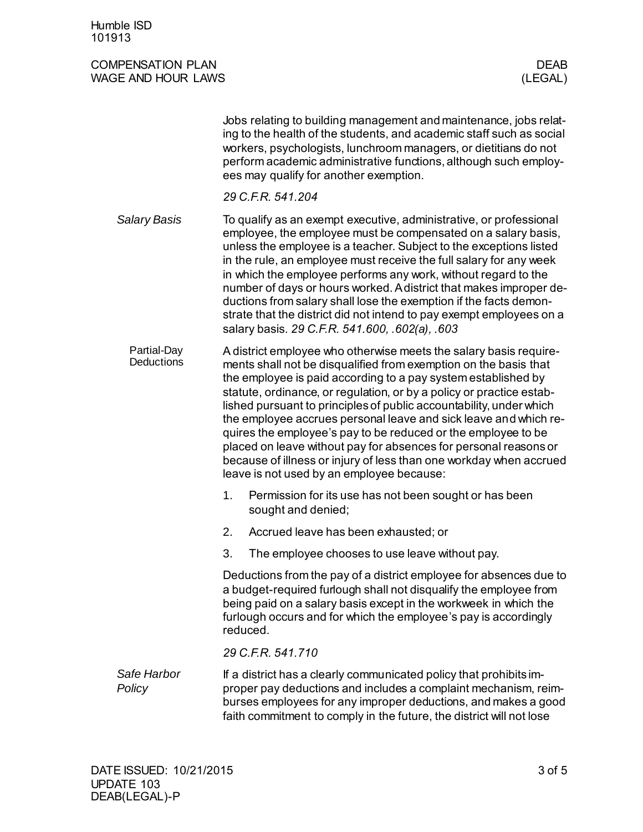Humble ISD 101913

## COMPENSATION PLAN DEAB<br>
WAGE AND HOUR LAWS (LEGAL) WAGE AND HOUR LAWS

|                                  | Jobs relating to building management and maintenance, jobs relat-<br>ing to the health of the students, and academic staff such as social<br>workers, psychologists, lunchroom managers, or dietitians do not<br>perform academic administrative functions, although such employ-<br>ees may qualify for another exemption.<br>29 C.F.R. 541.204                                                                                                                                                                                                                                                                                                                                  |  |  |  |
|----------------------------------|-----------------------------------------------------------------------------------------------------------------------------------------------------------------------------------------------------------------------------------------------------------------------------------------------------------------------------------------------------------------------------------------------------------------------------------------------------------------------------------------------------------------------------------------------------------------------------------------------------------------------------------------------------------------------------------|--|--|--|
| <b>Salary Basis</b>              | To qualify as an exempt executive, administrative, or professional<br>employee, the employee must be compensated on a salary basis,<br>unless the employee is a teacher. Subject to the exceptions listed<br>in the rule, an employee must receive the full salary for any week<br>in which the employee performs any work, without regard to the<br>number of days or hours worked. A district that makes improper de-<br>ductions from salary shall lose the exemption if the facts demon-<br>strate that the district did not intend to pay exempt employees on a<br>salary basis. 29 C.F.R. 541.600, .602(a), .603                                                            |  |  |  |
| Partial-Day<br><b>Deductions</b> | A district employee who otherwise meets the salary basis require-<br>ments shall not be disqualified from exemption on the basis that<br>the employee is paid according to a pay system established by<br>statute, ordinance, or regulation, or by a policy or practice estab-<br>lished pursuant to principles of public accountability, under which<br>the employee accrues personal leave and sick leave and which re-<br>quires the employee's pay to be reduced or the employee to be<br>placed on leave without pay for absences for personal reasons or<br>because of illness or injury of less than one workday when accrued<br>leave is not used by an employee because: |  |  |  |
|                                  | 1.<br>Permission for its use has not been sought or has been<br>sought and denied;                                                                                                                                                                                                                                                                                                                                                                                                                                                                                                                                                                                                |  |  |  |
|                                  | 2.<br>Accrued leave has been exhausted; or                                                                                                                                                                                                                                                                                                                                                                                                                                                                                                                                                                                                                                        |  |  |  |
|                                  | 3.<br>The employee chooses to use leave without pay.                                                                                                                                                                                                                                                                                                                                                                                                                                                                                                                                                                                                                              |  |  |  |
|                                  | Deductions from the pay of a district employee for absences due to<br>a budget-required furlough shall not disqualify the employee from<br>being paid on a salary basis except in the workweek in which the<br>furlough occurs and for which the employee's pay is accordingly<br>reduced.                                                                                                                                                                                                                                                                                                                                                                                        |  |  |  |
|                                  | 29 C.F.R. 541.710                                                                                                                                                                                                                                                                                                                                                                                                                                                                                                                                                                                                                                                                 |  |  |  |
| Safe Harbor<br>Policy            | If a district has a clearly communicated policy that prohibits im-<br>proper pay deductions and includes a complaint mechanism, reim-<br>burses employees for any improper deductions, and makes a good                                                                                                                                                                                                                                                                                                                                                                                                                                                                           |  |  |  |

faith commitment to comply in the future, the district will not lose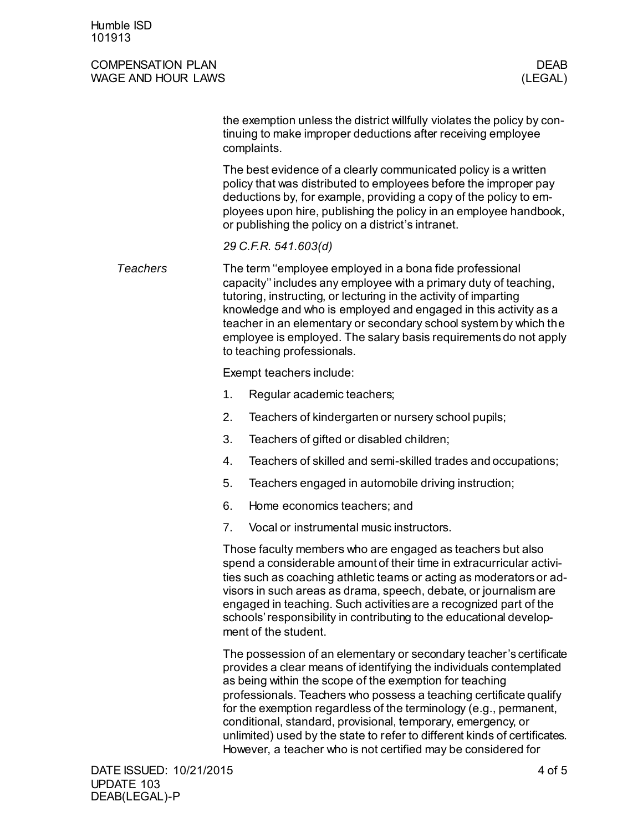## COMPENSATION PLAN **DEAB** WAGE AND HOUR LAWS (LEGAL)

the exemption unless the district willfully violates the policy by continuing to make improper deductions after receiving employee complaints.

The best evidence of a clearly communicated policy is a written policy that was distributed to employees before the improper pay deductions by, for example, providing a copy of the policy to employees upon hire, publishing the policy in an employee handbook, or publishing the policy on a district's intranet.

## *29 C.F.R. 541.603(d)*

The term ''employee employed in a bona fide professional capacity'' includes any employee with a primary duty of teaching, tutoring, instructing, or lecturing in the activity of imparting knowledge and who is employed and engaged in this activity as a teacher in an elementary or secondary school system by which the employee is employed. The salary basis requirements do not apply to teaching professionals. *Teachers*

Exempt teachers include:

- 1. Regular academic teachers;
- 2. Teachers of kindergarten or nursery school pupils;
- 3. Teachers of gifted or disabled children;
- 4. Teachers of skilled and semi-skilled trades and occupations;
- 5. Teachers engaged in automobile driving instruction;
- 6. Home economics teachers; and
- 7. Vocal or instrumental music instructors.

Those faculty members who are engaged as teachers but also spend a considerable amount of their time in extracurricular activities such as coaching athletic teams or acting as moderators or advisors in such areas as drama, speech, debate, or journalism are engaged in teaching. Such activities are a recognized part of the schools' responsibility in contributing to the educational development of the student.

The possession of an elementary or secondary teacher's certificate provides a clear means of identifying the individuals contemplated as being within the scope of the exemption for teaching professionals. Teachers who possess a teaching certificate qualify for the exemption regardless of the terminology (e.g., permanent, conditional, standard, provisional, temporary, emergency, or unlimited) used by the state to refer to different kinds of certificates. However, a teacher who is not certified may be considered for